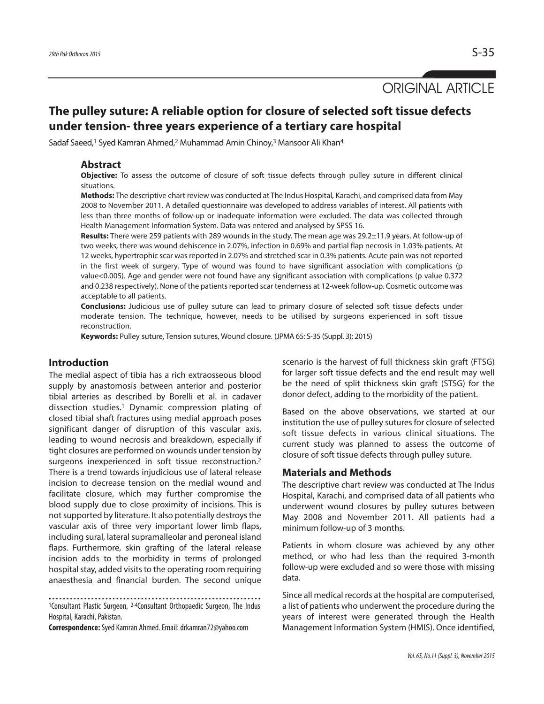ORIGINAL ARTICLE

# **The pulley suture: A reliable option for closure of selected soft tissue defects under tension- three years experience of a tertiary care hospital**

Sadaf Saeed,<sup>1</sup> Syed Kamran Ahmed,<sup>2</sup> Muhammad Amin Chinoy,<sup>3</sup> Mansoor Ali Khan<sup>4</sup>

### **Abstract**

**Objective:** To assess the outcome of closure of soft tissue defects through pulley suture in different clinical situations.

**Methods:** The descriptive chart review was conducted at The Indus Hospital, Karachi, and comprised data from May 2008 to November 2011. A detailed questionnaire was developed to address variables of interest. All patients with less than three months of follow-up or inadequate information were excluded. The data was collected through Health Management Information System. Data was entered and analysed by SPSS 16.

**Results:** There were 259 patients with 289 wounds in the study. The mean age was 29.2±11.9 years. At follow-up of two weeks, there was wound dehiscence in 2.07%, infection in 0.69% and partial flap necrosis in 1.03% patients. At 12 weeks, hypertrophic scar was reported in 2.07% and stretched scar in 0.3% patients. Acute pain was not reported in the first week of surgery. Type of wound was found to have significant association with complications (p value<0.005). Age and gender were not found have any significant association with complications (p value 0.372 and 0.238 respectively). None of the patients reported scar tenderness at 12-week follow-up. Cosmetic outcome was acceptable to all patients.

**Conclusions:** Judicious use of pulley suture can lead to primary closure of selected soft tissue defects under moderate tension. The technique, however, needs to be utilised by surgeons experienced in soft tissue reconstruction.

**Keywords:** Pulley suture, Tension sutures, Wound closure. (JPMA 65: S-35 (Suppl. 3); 2015)

# **Introduction**

The medial aspect of tibia has a rich extraosseous blood supply by anastomosis between anterior and posterior tibial arteries as described by Borelli et al. in cadaver dissection studies. <sup>1</sup> Dynamic compression plating of closed tibial shaft fractures using medial approach poses significant danger of disruption of this vascular axis, leading to wound necrosis and breakdown, especially if tight closures are performed on wounds under tension by surgeons inexperienced in soft tissue reconstruction. 2 There is a trend towards injudicious use of lateral release incision to decrease tension on the medial wound and facilitate closure, which may further compromise the blood supply due to close proximity of incisions. This is not supported by literature. It also potentially destroys the vascular axis of three very important lower limb flaps, including sural, lateral supramalleolar and peroneal island flaps. Furthermore, skin grafting of the lateral release incision adds to the morbidity in terms of prolonged hospital stay, added visits to the operating room requiring anaesthesia and financial burden. The second unique

1Consultant Plastic Surgeon, 2-4Consultant Orthopaedic Surgeon, The Indus Hospital, Karachi, Pakistan.

**Correspondence:**Syed Kamran Ahmed.Email:drkamran72@yahoo.com

scenario is the harvest of full thickness skin graft (FTSG) for larger soft tissue defects and the end result may well be the need of split thickness skin graft (STSG) for the donor defect, adding to the morbidity of the patient.

Based on the above observations, we started at our institution the use of pulley sutures for closure of selected soft tissue defects in various clinical situations. The current study was planned to assess the outcome of closure of soft tissue defects through pulley suture.

# **Materials and Methods**

The descriptive chart review was conducted at The Indus Hospital, Karachi, and comprised data of all patients who underwent wound closures by pulley sutures between May 2008 and November 2011. All patients had a minimum follow-up of 3 months.

Patients in whom closure was achieved by any other method, or who had less than the required 3-month follow-up were excluded and so were those with missing data.

Since all medical records at the hospital are computerised, a list of patients who underwent the procedure during the years of interest were generated through the Health Management Information System (HMIS). Once identified,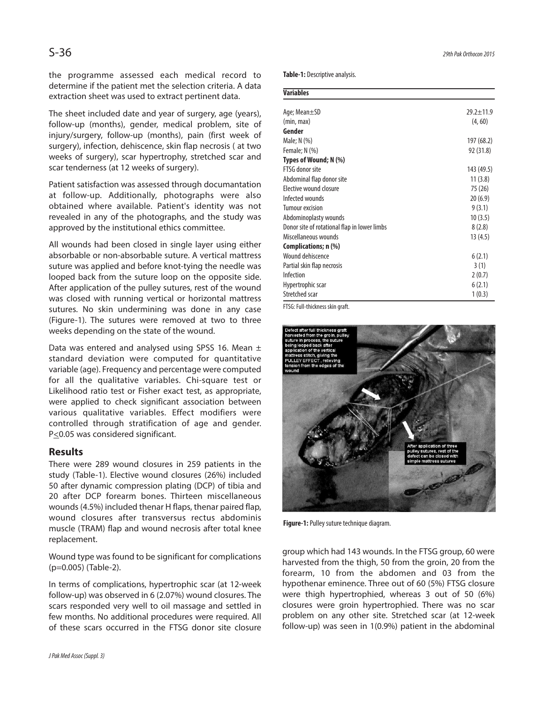the programme assessed each medical record to determine if the patient met the selection criteria. A data extraction sheet was used to extract pertinent data.

The sheet included date and year of surgery, age (years), follow-up (months), gender, medical problem, site of injury/surgery, follow-up (months), pain (first week of surgery), infection, dehiscence, skin flap necrosis ( at two weeks of surgery), scar hypertrophy, stretched scar and scar tenderness (at 12 weeks of surgery).

Patient satisfaction was assessed through documantation at follow-up. Additionally, photographs were also obtained where available. Patient's identity was not revealed in any of the photographs, and the study was approved by the institutional ethics committee.

All wounds had been closed in single layer using either absorbable or non-absorbable suture. A vertical mattress suture was applied and before knot-tying the needle was looped back from the suture loop on the opposite side. After application of the pulley sutures, rest of the wound was closed with running vertical or horizontal mattress sutures. No skin undermining was done in any case (Figure-1). The sutures were removed at two to three weeks depending on the state of the wound.

Data was entered and analysed using SPSS 16. Mean  $\pm$ standard deviation were computed for quantitative variable (age). Frequency and percentage were computed for all the qualitative variables. Chi-square test or Likelihood ratio test or Fisher exact test, as appropriate, were applied to check significant association between various qualitative variables. Effect modifiers were controlled through stratification of age and gender. P<0.05 was considered significant.

## **Results**

There were 289 wound closures in 259 patients in the study (Table-1). Elective wound closures (26%) included 50 after dynamic compression plating (DCP) of tibia and 20 after DCP forearm bones. Thirteen miscellaneous wounds(4.5%) included thenar H flaps, thenar paired flap, wound closures after transversus rectus abdominis muscle (TRAM) flap and wound necrosis after total knee replacement.

Wound type was found to be significant for complications (p=0.005) (Table-2).

In terms of complications, hypertrophic scar (at 12-week follow-up) was observed in 6 (2.07%) wound closures. The scars responded very well to oil massage and settled in few months. No additional procedures were required. All of these scars occurred in the FTSG donor site closure **Table-1:** Descriptive analysis.

| <b>Variables</b>                             |                 |
|----------------------------------------------|-----------------|
| Age; Mean±SD                                 | $29.2 \pm 11.9$ |
| (min, max)                                   | (4, 60)         |
| Gender                                       |                 |
| Male; N (%)                                  | 197 (68.2)      |
| Female; $N$ (%)                              | 92 (31.8)       |
| Types of Wound; N (%)                        |                 |
| FTSG donor site                              | 143 (49.5)      |
| Abdominal flap donor site                    | 11(3.8)         |
| Elective wound closure                       | 75 (26)         |
| Infected wounds                              | 20(6.9)         |
| <b>Tumour excision</b>                       | 9(3.1)          |
| Abdominoplasty wounds                        | 10(3.5)         |
| Donor site of rotational flap in lower limbs | 8(2.8)          |
| Miscellaneous wounds                         | 13 (4.5)        |
| Complications; n (%)                         |                 |
| Wound dehiscence                             | 6(2.1)          |
| Partial skin flap necrosis                   | 3(1)            |
| Infection                                    | 2(0.7)          |
| Hypertrophic scar                            | 6(2.1)          |
| Stretched scar                               | 1(0.3)          |

FTSG: Full-thickness skin graft.



Figure-1: Pulley suture technique diagram.

group which had 143 wounds. In the FTSG group, 60 were harvested from the thigh, 50 from the groin, 20 from the forearm, 10 from the abdomen and 03 from the hypothenar eminence. Three out of 60 (5%) FTSG closure were thigh hypertrophied, whereas 3 out of 50 (6%) closures were groin hypertrophied. There was no scar problem on any other site. Stretched scar (at 12-week follow-up) was seen in 1(0.9%) patient in the abdominal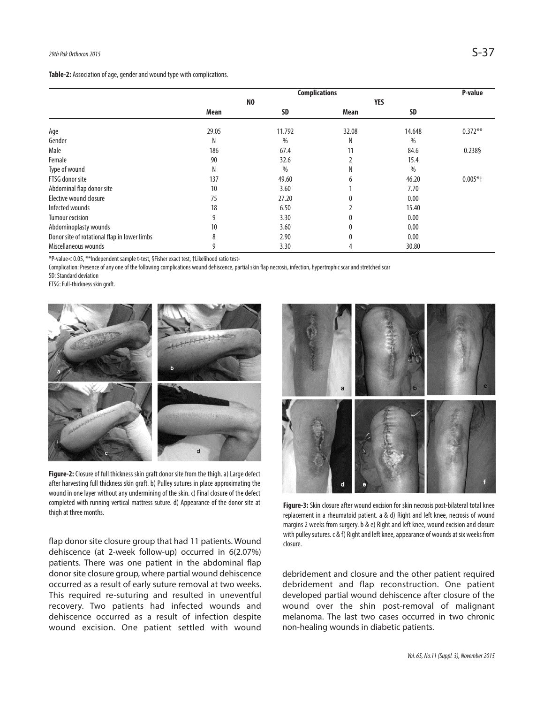Table-2: Association of age, gender and wound type with complications.

|                                              | <b>Complications</b> |               |              |           | P-value    |
|----------------------------------------------|----------------------|---------------|--------------|-----------|------------|
|                                              | N <sub>0</sub>       |               | <b>YES</b>   |           |            |
|                                              | Mean                 | <b>SD</b>     | Mean         | <b>SD</b> |            |
| Age                                          | 29.05                | 11.792        | 32.08        | 14.648    | $0.372**$  |
| Gender                                       | Ν                    | $\frac{0}{0}$ | Ν            | $\%$      |            |
| Male                                         | 186                  | 67.4          | 11           | 84.6      | 0.238§     |
| Female                                       | 90                   | 32.6          |              | 15.4      |            |
| Type of wound                                | Ν                    | $\%$          | Ν            | $\%$      |            |
| FTSG donor site                              | 137                  | 49.60         | 6            | 46.20     | $0.005*$ + |
| Abdominal flap donor site                    | 10                   | 3.60          |              | 7.70      |            |
| Elective wound closure                       | 75                   | 27.20         |              | 0.00      |            |
| Infected wounds                              | 18                   | 6.50          |              | 15.40     |            |
| Tumour excision                              | 9                    | 3.30          | 0            | 0.00      |            |
| Abdominoplasty wounds                        | 10                   | 3.60          | $\mathbf{0}$ | 0.00      |            |
| Donor site of rotational flap in lower limbs | 8                    | 2.90          | $\mathbf{0}$ | 0.00      |            |
| Miscellaneous wounds                         | 9                    | 3.30          | 4            | 30.80     |            |

\*P-value< 0.05,\*\*Independent samplet-test, §Fisherexact test,†Likelihoodratiotest-

Complication: Presence of any one of the following complications wound dehiscence, partial skin flap necrosis, infection, hypertrophic scar and stretched scar

SD: Standard deviation

FTSG: Full-thickness skin graft.



Figure-2: Closure of full thickness skin graft donor site from the thigh. a) Large defect after harvesting full thickness skin graft. b) Pulley sutures in place approximating the wound in one layer without any undermining of the skin. c) Final closure of the defect completed with running vertical mattress suture. d) Appearance of the donor site at completed with running vertical mattress suture. d) Appearance of the donor site at **Figure-3:** Skin closure after wound excision for skin necrosis post-bilateral total knee<br>Figure-3: Skin closure after wound excision for

flap donor site closure group that had 11 patients. Wound dehiscence (at 2-week follow-up) occurred in 6(2.07%) patients. There was one patient in the abdominal flap donor site closure group, where partial wound dehiscence occurred as a result of early suture removal at two weeks. This required re-suturing and resulted in uneventful recovery. Two patients had infected wounds and dehiscence occurred as a result of infection despite wound excision. One patient settled with wound



replacement in a rheumatoid patient. a & d) Right and left knee, necrosis of wound margins 2 weeks from surgery. b & e) Right and left knee, wound excision and closure with pulley sutures. c & f) Right and left knee, appearance of wounds at six weeks from closure.

debridement and closure and the other patient required debridement and flap reconstruction. One patient developed partial wound dehiscence after closure of the wound over the shin post-removal of malignant melanoma. The last two cases occurred in two chronic non-healing wounds in diabetic patients.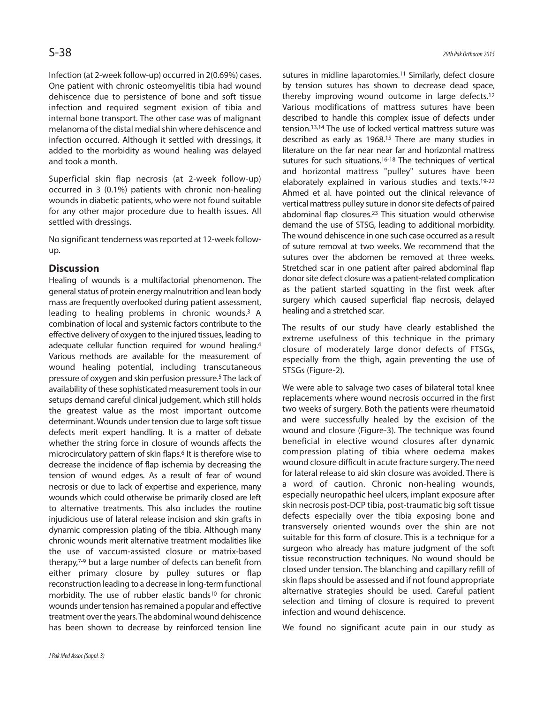Infection (at 2-week follow-up) occurred in 2(0.69%) cases. One patient with chronic osteomyelitis tibia had wound dehiscence due to persistence of bone and soft tissue infection and required segment exision of tibia and internal bone transport. The other case was of malignant melanoma of the distal medial shin where dehiscence and infection occurred. Although it settled with dressings, it added to the morbidity as wound healing was delayed and took a month.

Superficial skin flap necrosis (at 2-week follow-up) occurred in 3 (0.1%) patients with chronic non-healing wounds in diabetic patients, who were not found suitable for any other major procedure due to health issues. All settled with dressings.

No significant tenderness was reported at 12-week followup.

# **Discussion**

Healing of wounds is a multifactorial phenomenon. The general status of protein energy malnutrition and lean body mass are frequently overlooked during patient assessment, leading to healing problems in chronic wounds. <sup>3</sup> A combination of local and systemic factors contribute to the effective delivery of oxygen to the injured tissues, leading to adequate cellular function required for wound healing.<sup>4</sup> Various methods are available for the measurement of wound healing potential, including transcutaneous pressure of oxygen and skin perfusion pressure. <sup>5</sup> The lack of availability of these sophisticated measurement tools in our setups demand careful clinical judgement, which still holds the greatest value as the most important outcome determinant. Wounds under tension due to large soft tissue defects merit expert handling. It is a matter of debate whether the string force in closure of wounds affects the microcirculatory pattern of skin flaps. <sup>6</sup> It is therefore wise to decrease the incidence of flap ischemia by decreasing the tension of wound edges. As a result of fear of wound necrosis or due to lack of expertise and experience, many wounds which could otherwise be primarily closed are left to alternative treatments. This also includes the routine injudicious use of lateral release incision and skin grafts in dynamic compression plating of the tibia. Although many chronic wounds merit alternative treatment modalities like the use of vaccum-assisted closure or matrix-based therapy, 7-9 but a large number of defects can benefit from either primary closure by pulley sutures or flap reconstruction leading to a decrease in long-term functional morbidity. The use of rubber elastic bands<sup>10</sup> for chronic wounds under tension has remained a popular and effective treatment over the years. The abdominal wound dehiscence has been shown to decrease by reinforced tension line

sutures in midline laparotomies. <sup>11</sup> Similarly, defect closure by tension sutures has shown to decrease dead space, thereby improving wound outcome in large defects. 12 Various modifications of mattress sutures have been described to handle this complex issue of defects under tension. 13,14 The use of locked vertical mattress suture was described as early as 1968. <sup>15</sup> There are many studies in literature on the far near near far and horizontal mattress sutures for such situations. 16-18 The techniques of vertical and horizontal mattress "pulley" sutures have been elaborately explained in various studies and texts. 19-22 Ahmed et al. have pointed out the clinical relevance of vertical mattress pulley suture in donor site defects of paired abdominal flap closures. 23 This situation would otherwise demand the use of STSG, leading to additional morbidity. The wound dehiscence in one such case occurred as a result of suture removal at two weeks. We recommend that the sutures over the abdomen be removed at three weeks. Stretched scar in one patient after paired abdominal flap donor site defect closure was a patient-related complication as the patient started squatting in the first week after surgery which caused superficial flap necrosis, delayed healing and a stretched scar.

The results of our study have clearly established the extreme usefulness of this technique in the primary closure of moderately large donor defects of FTSGs, especially from the thigh, again preventing the use of STSGs (Figure-2).

We were able to salvage two cases of bilateral total knee replacements where wound necrosis occurred in the first two weeks of surgery. Both the patients were rheumatoid and were successfully healed by the excision of the wound and closure (Figure-3). The technique was found beneficial in elective wound closures after dynamic compression plating of tibia where oedema makes wound closure difficult in acute fracture surgery. The need for lateral release to aid skin closure was avoided. There is a word of caution. Chronic non-healing wounds, especially neuropathic heel ulcers, implant exposure after skin necrosis post-DCP tibia, post-traumatic big soft tissue defects especially over the tibia exposing bone and transversely oriented wounds over the shin are not suitable for this form of closure. This is a technique for a surgeon who already has mature judgment of the soft tissue reconstruction techniques. No wound should be closed under tension. The blanching and capillary refill of skin flaps should be assessed and if not found appropriate alternative strategies should be used. Careful patient selection and timing of closure is required to prevent infection and wound dehiscence.

We found no significant acute pain in our study as